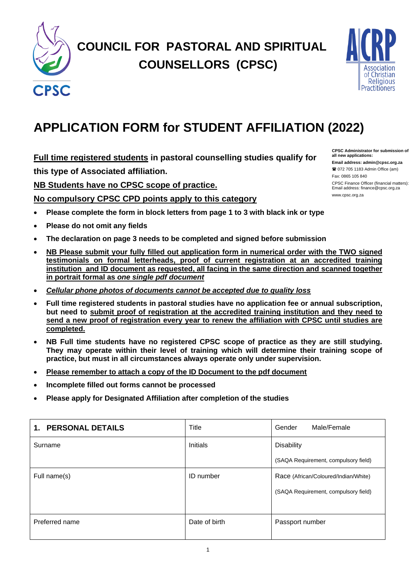

# **COUNCIL FOR PASTORAL AND SPIRITUAL COUNSELLORS (CPSC)**



## **APPLICATION FORM for STUDENT AFFILIATION (2022)**

**Full time registered students in pastoral counselling studies qualify for this type of Associated affiliation.** 

**NB Students have no CPSC scope of practice.** 

**No compulsory CPSC CPD points apply to this category**

- **Please complete the form in block letters from page 1 to 3 with black ink or type**
- **Please do not omit any fields**
- **The declaration on page 3 needs to be completed and signed before submission**
- **NB Please submit your fully filled out application form in numerical order with the TWO signed testimonials on formal letterheads, proof of current registration at an accredited training**  institution and ID document as requested, all facing in the same direction and scanned together **in portrait formal as** *one single pdf document*
- *Cellular phone photos of documents cannot be accepted due to quality loss*
- **Full time registered students in pastoral studies have no application fee or annual subscription, but need to submit proof of registration at the accredited training institution and they need to send a new proof of registration every year to renew the affiliation with CPSC until studies are completed.**
- **NB Full time students have no registered CPSC scope of practice as they are still studying. They may operate within their level of training which will determine their training scope of practice, but must in all circumstances always operate only under supervision.**
- **Please remember to attach a copy of the ID Document to the pdf document**
- **Incomplete filled out forms cannot be processed**
- **Please apply for Designated Affiliation after completion of the studies**

| <b>PERSONAL DETAILS</b><br>1. | Title         | Male/Female<br>Gender                |  |
|-------------------------------|---------------|--------------------------------------|--|
| Surname                       | Initials      | <b>Disability</b>                    |  |
|                               |               | (SAQA Requirement, compulsory field) |  |
| Full name(s)                  | ID number     | Race (African/Coloured/Indian/White) |  |
|                               |               | (SAQA Requirement, compulsory field) |  |
|                               |               |                                      |  |
| Preferred name                | Date of birth | Passport number                      |  |
|                               |               |                                      |  |

**CPSC Administrator for submission of all new applications: Email address: admin@cpsc.org.za** 072 705 1183 Admin Office (am)

Fax: 0865 105 840 CPSC Finance Officer (financial matters): Email address: finance@cpsc.org.za www.cpsc.org.za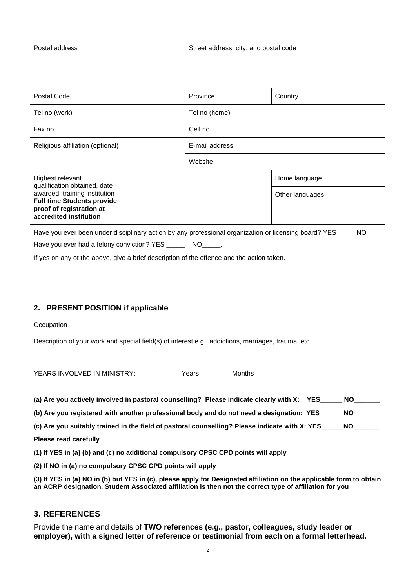| Postal address                                                                                                                                                                                                                  |  | Street address, city, and postal code |               |                 |           |
|---------------------------------------------------------------------------------------------------------------------------------------------------------------------------------------------------------------------------------|--|---------------------------------------|---------------|-----------------|-----------|
| Postal Code                                                                                                                                                                                                                     |  | Province                              |               | Country         |           |
|                                                                                                                                                                                                                                 |  | Tel no (home)                         |               |                 |           |
| Tel no (work)                                                                                                                                                                                                                   |  |                                       |               |                 |           |
| Fax no                                                                                                                                                                                                                          |  | Cell no                               |               |                 |           |
| Religious affiliation (optional)                                                                                                                                                                                                |  | E-mail address                        |               |                 |           |
|                                                                                                                                                                                                                                 |  | Website                               |               |                 |           |
| Highest relevant<br>qualification obtained, date                                                                                                                                                                                |  |                                       |               | Home language   |           |
| awarded, training institution<br><b>Full time Students provide</b><br>proof of registration at<br>accredited institution                                                                                                        |  |                                       |               | Other languages |           |
| Have you ever been under disciplinary action by any professional organization or licensing board? YES_                                                                                                                          |  |                                       |               |                 | <b>NO</b> |
| Have you ever had a felony conviction? YES _______ NO_____.                                                                                                                                                                     |  |                                       |               |                 |           |
| If yes on any ot the above, give a brief description of the offence and the action taken.                                                                                                                                       |  |                                       |               |                 |           |
| <b>PRESENT POSITION if applicable</b><br>2.                                                                                                                                                                                     |  |                                       |               |                 |           |
| Occupation                                                                                                                                                                                                                      |  |                                       |               |                 |           |
| Description of your work and special field(s) of interest e.g., addictions, marriages, trauma, etc.                                                                                                                             |  |                                       |               |                 |           |
| YEARS INVOLVED IN MINISTRY:                                                                                                                                                                                                     |  | Years                                 | <b>Months</b> |                 |           |
| (a) Are you actively involved in pastoral counselling? Please indicate clearly with X: YES                                                                                                                                      |  |                                       |               |                 | NO        |
| (b) Are you registered with another professional body and do not need a designation: YES_____                                                                                                                                   |  |                                       |               |                 |           |
| (c) Are you suitably trained in the field of pastoral counselling? Please indicate with X: YES____                                                                                                                              |  |                                       |               | NO <sub>2</sub> |           |
| <b>Please read carefully</b>                                                                                                                                                                                                    |  |                                       |               |                 |           |
| (1) If YES in (a) (b) and (c) no additional compulsory CPSC CPD points will apply                                                                                                                                               |  |                                       |               |                 |           |
| (2) If NO in (a) no compulsory CPSC CPD points will apply                                                                                                                                                                       |  |                                       |               |                 |           |
| (3) If YES in (a) NO in (b) but YES in (c), please apply for Designated affiliation on the applicable form to obtain<br>an ACRP designation. Student Associated affiliation is then not the correct type of affiliation for you |  |                                       |               |                 |           |

#### **3. REFERENCES**

Provide the name and details of **TWO references (e.g., pastor, colleagues, study leader or employer), with a signed letter of reference or testimonial from each on a formal letterhead.**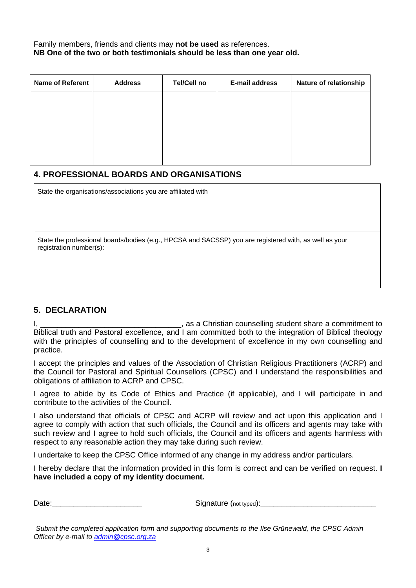Family members, friends and clients may **not be used** as references. **NB One of the two or both testimonials should be less than one year old.**

| <b>Name of Referent</b> | <b>Address</b> | <b>Tel/Cell no</b> | E-mail address | Nature of relationship |
|-------------------------|----------------|--------------------|----------------|------------------------|
|                         |                |                    |                |                        |
|                         |                |                    |                |                        |
|                         |                |                    |                |                        |
|                         |                |                    |                |                        |
|                         |                |                    |                |                        |

#### **4. PROFESSIONAL BOARDS AND ORGANISATIONS**

State the organisations/associations you are affiliated with

State the professional boards/bodies (e.g., HPCSA and SACSSP) you are registered with, as well as your registration number(s):

#### **5. DECLARATION**

I, \_\_\_\_\_\_\_\_\_\_\_\_\_\_\_\_\_\_\_\_\_\_\_\_\_\_\_\_\_\_\_\_\_, as a Christian counselling student share a commitment to Biblical truth and Pastoral excellence, and I am committed both to the integration of Biblical theology with the principles of counselling and to the development of excellence in my own counselling and practice.

I accept the principles and values of the Association of Christian Religious Practitioners (ACRP) and the Council for Pastoral and Spiritual Counsellors (CPSC) and I understand the responsibilities and obligations of affiliation to ACRP and CPSC.

I agree to abide by its Code of Ethics and Practice (if applicable), and I will participate in and contribute to the activities of the Council.

I also understand that officials of CPSC and ACRP will review and act upon this application and I agree to comply with action that such officials, the Council and its officers and agents may take with such review and I agree to hold such officials, the Council and its officers and agents harmless with respect to any reasonable action they may take during such review.

I undertake to keep the CPSC Office informed of any change in my address and/or particulars.

I hereby declare that the information provided in this form is correct and can be verified on request. **I have included a copy of my identity document***.*

Date: example and the signature (not typed):  $\Box$ 

*Submit the completed application form and supporting documents to the Ilse Grünewald, the CPSC Admin Officer by e-mail to [admin@cpsc.org.za](mailto:admin@cpsc.org.za)*